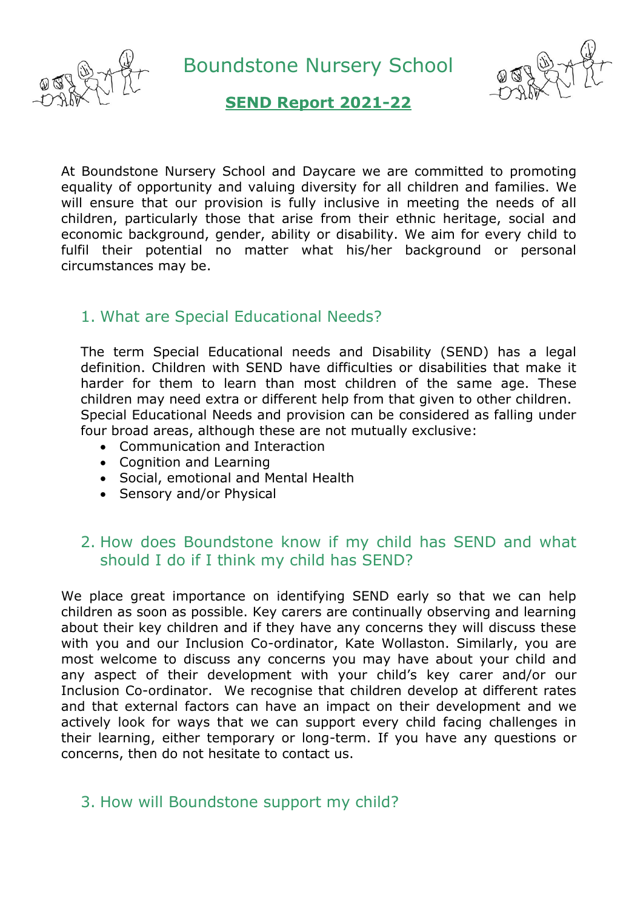

Boundstone Nursery School



## **SEND Report 2021-22**

At Boundstone Nursery School and Daycare we are committed to promoting equality of opportunity and valuing diversity for all children and families. We will ensure that our provision is fully inclusive in meeting the needs of all children, particularly those that arise from their ethnic heritage, social and economic background, gender, ability or disability. We aim for every child to fulfil their potential no matter what his/her background or personal circumstances may be.

### 1. What are Special Educational Needs?

The term Special Educational needs and Disability (SEND) has a legal definition. Children with SEND have difficulties or disabilities that make it harder for them to learn than most children of the same age. These children may need extra or different help from that given to other children. Special Educational Needs and provision can be considered as falling under four broad areas, although these are not mutually exclusive:

- Communication and Interaction
- Cognition and Learning
- Social, emotional and Mental Health
- Sensory and/or Physical

### 2. How does Boundstone know if my child has SEND and what should I do if I think my child has SEND?

We place great importance on identifying SEND early so that we can help children as soon as possible. Key carers are continually observing and learning about their key children and if they have any concerns they will discuss these with you and our Inclusion Co-ordinator, Kate Wollaston. Similarly, you are most welcome to discuss any concerns you may have about your child and any aspect of their development with your child's key carer and/or our Inclusion Co-ordinator. We recognise that children develop at different rates and that external factors can have an impact on their development and we actively look for ways that we can support every child facing challenges in their learning, either temporary or long-term. If you have any questions or concerns, then do not hesitate to contact us.

## 3. How will Boundstone support my child?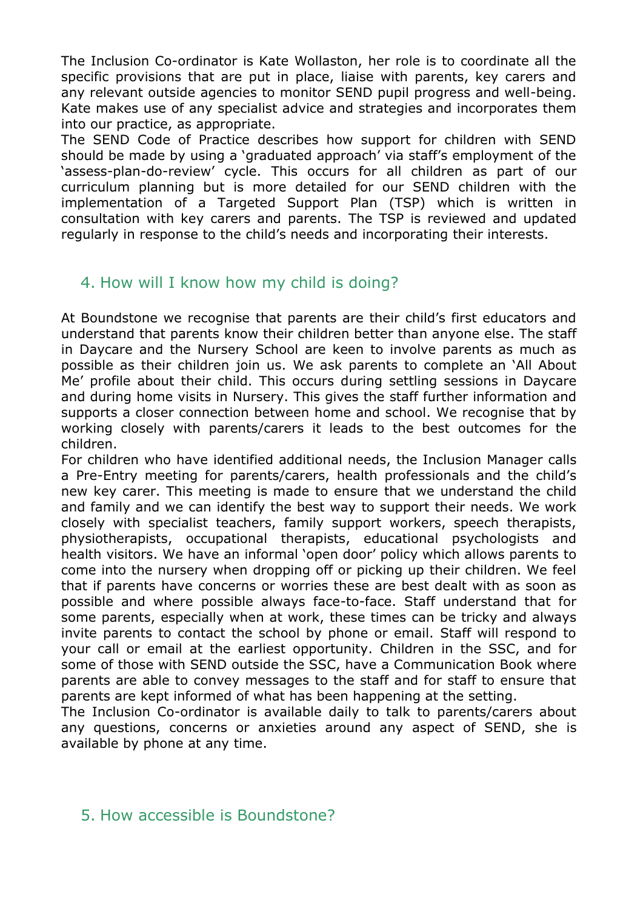The Inclusion Co-ordinator is Kate Wollaston, her role is to coordinate all the specific provisions that are put in place, liaise with parents, key carers and any relevant outside agencies to monitor SEND pupil progress and well-being. Kate makes use of any specialist advice and strategies and incorporates them into our practice, as appropriate.

The SEND Code of Practice describes how support for children with SEND should be made by using a 'graduated approach' via staff's employment of the 'assess-plan-do-review' cycle. This occurs for all children as part of our curriculum planning but is more detailed for our SEND children with the implementation of a Targeted Support Plan (TSP) which is written in consultation with key carers and parents. The TSP is reviewed and updated regularly in response to the child's needs and incorporating their interests.

## 4. How will I know how my child is doing?

At Boundstone we recognise that parents are their child's first educators and understand that parents know their children better than anyone else. The staff in Daycare and the Nursery School are keen to involve parents as much as possible as their children join us. We ask parents to complete an 'All About Me' profile about their child. This occurs during settling sessions in Daycare and during home visits in Nursery. This gives the staff further information and supports a closer connection between home and school. We recognise that by working closely with parents/carers it leads to the best outcomes for the children.

For children who have identified additional needs, the Inclusion Manager calls a Pre-Entry meeting for parents/carers, health professionals and the child's new key carer. This meeting is made to ensure that we understand the child and family and we can identify the best way to support their needs. We work closely with specialist teachers, family support workers, speech therapists, physiotherapists, occupational therapists, educational psychologists and health visitors. We have an informal 'open door' policy which allows parents to come into the nursery when dropping off or picking up their children. We feel that if parents have concerns or worries these are best dealt with as soon as possible and where possible always face-to-face. Staff understand that for some parents, especially when at work, these times can be tricky and always invite parents to contact the school by phone or email. Staff will respond to your call or email at the earliest opportunity. Children in the SSC, and for some of those with SEND outside the SSC, have a Communication Book where parents are able to convey messages to the staff and for staff to ensure that parents are kept informed of what has been happening at the setting.

The Inclusion Co-ordinator is available daily to talk to parents/carers about any questions, concerns or anxieties around any aspect of SEND, she is available by phone at any time.

## 5. How accessible is Boundstone?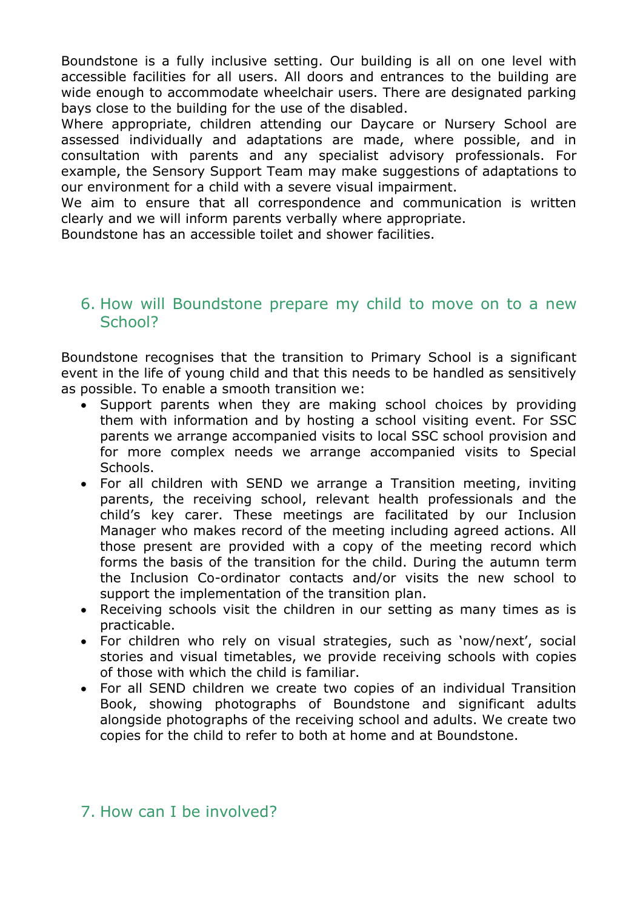Boundstone is a fully inclusive setting. Our building is all on one level with accessible facilities for all users. All doors and entrances to the building are wide enough to accommodate wheelchair users. There are designated parking bays close to the building for the use of the disabled.

Where appropriate, children attending our Daycare or Nursery School are assessed individually and adaptations are made, where possible, and in consultation with parents and any specialist advisory professionals. For example, the Sensory Support Team may make suggestions of adaptations to our environment for a child with a severe visual impairment.

We aim to ensure that all correspondence and communication is written clearly and we will inform parents verbally where appropriate.

Boundstone has an accessible toilet and shower facilities.

### 6. How will Boundstone prepare my child to move on to a new School?

Boundstone recognises that the transition to Primary School is a significant event in the life of young child and that this needs to be handled as sensitively as possible. To enable a smooth transition we:

- Support parents when they are making school choices by providing them with information and by hosting a school visiting event. For SSC parents we arrange accompanied visits to local SSC school provision and for more complex needs we arrange accompanied visits to Special Schools.
- For all children with SEND we arrange a Transition meeting, inviting parents, the receiving school, relevant health professionals and the child's key carer. These meetings are facilitated by our Inclusion Manager who makes record of the meeting including agreed actions. All those present are provided with a copy of the meeting record which forms the basis of the transition for the child. During the autumn term the Inclusion Co-ordinator contacts and/or visits the new school to support the implementation of the transition plan.
- Receiving schools visit the children in our setting as many times as is practicable.
- For children who rely on visual strategies, such as 'now/next', social stories and visual timetables, we provide receiving schools with copies of those with which the child is familiar.
- For all SEND children we create two copies of an individual Transition Book, showing photographs of Boundstone and significant adults alongside photographs of the receiving school and adults. We create two copies for the child to refer to both at home and at Boundstone.

## 7. How can I be involved?